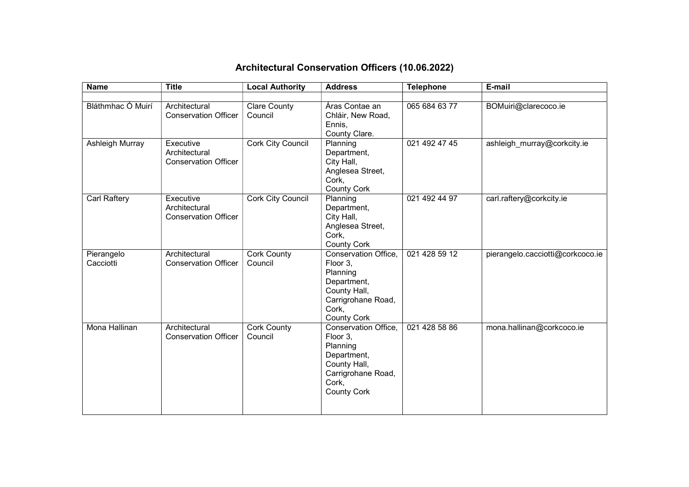| <b>Name</b>             | <b>Title</b>                                              | <b>Local Authority</b>         | <b>Address</b>                                                                                                                   | <b>Telephone</b> | E-mail                           |
|-------------------------|-----------------------------------------------------------|--------------------------------|----------------------------------------------------------------------------------------------------------------------------------|------------------|----------------------------------|
|                         |                                                           |                                |                                                                                                                                  |                  |                                  |
| Bláthmhac Ó Muirí       | Architectural<br><b>Conservation Officer</b>              | <b>Clare County</b><br>Council | Áras Contae an<br>Chláir, New Road,<br>Ennis,<br>County Clare.                                                                   | 065 684 63 77    | BOMuiri@clarecoco.ie             |
| Ashleigh Murray         | Executive<br>Architectural<br><b>Conservation Officer</b> | Cork City Council              | Planning<br>Department,<br>City Hall,<br>Anglesea Street,<br>Cork,<br><b>County Cork</b>                                         | 021 492 47 45    | ashleigh murray@corkcity.ie      |
| Carl Raftery            | Executive<br>Architectural<br><b>Conservation Officer</b> | Cork City Council              | Planning<br>Department,<br>City Hall,<br>Anglesea Street,<br>Cork,<br><b>County Cork</b>                                         | 021 492 44 97    | carl.raftery@corkcity.ie         |
| Pierangelo<br>Cacciotti | Architectural<br><b>Conservation Officer</b>              | Cork County<br>Council         | Conservation Office,<br>Floor 3,<br>Planning<br>Department,<br>County Hall,<br>Carrigrohane Road,<br>Cork,<br><b>County Cork</b> | 021 428 59 12    | pierangelo.cacciotti@corkcoco.ie |
| Mona Hallinan           | Architectural<br><b>Conservation Officer</b>              | Cork County<br>Council         | Conservation Office,<br>Floor 3,<br>Planning<br>Department,<br>County Hall,<br>Carrigrohane Road,<br>Cork,<br><b>County Cork</b> | 021 428 58 86    | mona.hallinan@corkcoco.ie        |

## Architectural Conservation Officers (10.06.2022)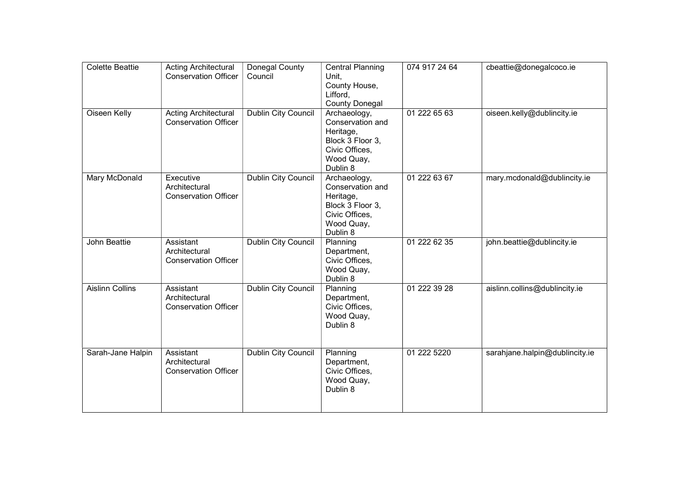| <b>Colette Beattie</b> | <b>Acting Architectural</b><br><b>Conservation Officer</b> | Donegal County<br>Council  | <b>Central Planning</b><br>Unit,<br>County House,<br>Lifford,<br><b>County Donegal</b>                        | 074 917 24 64 | cbeattie@donegalcoco.ie        |
|------------------------|------------------------------------------------------------|----------------------------|---------------------------------------------------------------------------------------------------------------|---------------|--------------------------------|
| Oiseen Kelly           | <b>Acting Architectural</b><br><b>Conservation Officer</b> | <b>Dublin City Council</b> | Archaeology,<br>Conservation and<br>Heritage,<br>Block 3 Floor 3,<br>Civic Offices,<br>Wood Quay,<br>Dublin 8 | 01 222 65 63  | oiseen.kelly@dublincity.ie     |
| Mary McDonald          | Executive<br>Architectural<br><b>Conservation Officer</b>  | Dublin City Council        | Archaeology,<br>Conservation and<br>Heritage,<br>Block 3 Floor 3,<br>Civic Offices,<br>Wood Quay,<br>Dublin 8 | 01 222 63 67  | mary.mcdonald@dublincity.ie    |
| John Beattie           | Assistant<br>Architectural<br><b>Conservation Officer</b>  | Dublin City Council        | Planning<br>Department,<br>Civic Offices,<br>Wood Quay,<br>Dublin 8                                           | 01 222 62 35  | john.beattie@dublincity.ie     |
| <b>Aislinn Collins</b> | Assistant<br>Architectural<br><b>Conservation Officer</b>  | <b>Dublin City Council</b> | Planning<br>Department,<br>Civic Offices,<br>Wood Quay,<br>Dublin 8                                           | 01 222 39 28  | aislinn.collins@dublincity.ie  |
| Sarah-Jane Halpin      | Assistant<br>Architectural<br><b>Conservation Officer</b>  | <b>Dublin City Council</b> | Planning<br>Department,<br>Civic Offices,<br>Wood Quay,<br>Dublin 8                                           | 01 222 5220   | sarahjane.halpin@dublincity.ie |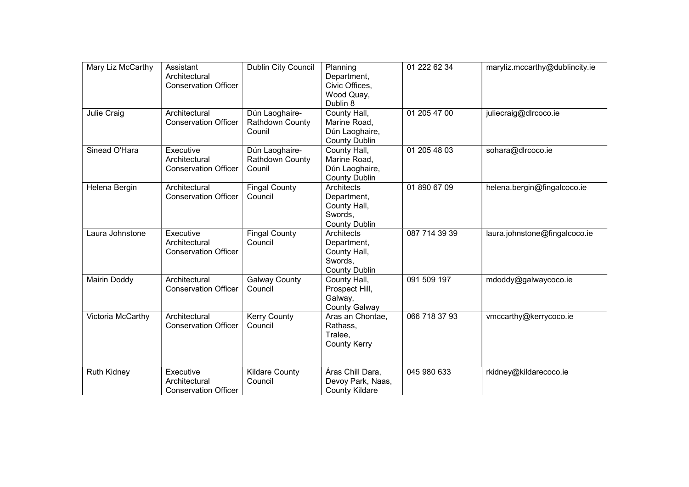| Mary Liz McCarthy  | Assistant<br>Architectural<br><b>Conservation Officer</b> | <b>Dublin City Council</b>                  | Planning<br>Department,<br>Civic Offices,<br>Wood Quay,<br>Dublin 8          | 01 222 62 34  | maryliz.mccarthy@dublincity.ie |
|--------------------|-----------------------------------------------------------|---------------------------------------------|------------------------------------------------------------------------------|---------------|--------------------------------|
| Julie Craig        | Architectural<br><b>Conservation Officer</b>              | Dún Laoghaire-<br>Rathdown County<br>Counil | County Hall,<br>Marine Road,<br>Dún Laoghaire,<br><b>County Dublin</b>       | 01 205 47 00  | juliecraig@dlrcoco.ie          |
| Sinead O'Hara      | Executive<br>Architectural<br><b>Conservation Officer</b> | Dún Laoghaire-<br>Rathdown County<br>Counil | County Hall,<br>Marine Road,<br>Dún Laoghaire,<br><b>County Dublin</b>       | 01 205 48 03  | sohara@dlrcoco.ie              |
| Helena Bergin      | Architectural<br><b>Conservation Officer</b>              | <b>Fingal County</b><br>Council             | Architects<br>Department,<br>County Hall,<br>Swords,<br><b>County Dublin</b> | 01 890 67 09  | helena.bergin@fingalcoco.ie    |
| Laura Johnstone    | Executive<br>Architectural<br><b>Conservation Officer</b> | Fingal County<br>Council                    | Architects<br>Department,<br>County Hall,<br>Swords,<br><b>County Dublin</b> | 087 714 39 39 | laura.johnstone@fingalcoco.ie  |
| Mairin Doddy       | Architectural<br><b>Conservation Officer</b>              | <b>Galway County</b><br>Council             | County Hall,<br>Prospect Hill,<br>Galway,<br><b>County Galway</b>            | 091 509 197   | mdoddy@galwaycoco.ie           |
| Victoria McCarthy  | Architectural<br><b>Conservation Officer</b>              | <b>Kerry County</b><br>Council              | Aras an Chontae,<br>Rathass,<br>Tralee,<br><b>County Kerry</b>               | 066 718 37 93 | vmccarthy@kerrycoco.ie         |
| <b>Ruth Kidney</b> | Executive<br>Architectural<br><b>Conservation Officer</b> | <b>Kildare County</b><br>Council            | Áras Chill Dara,<br>Devoy Park, Naas,<br><b>County Kildare</b>               | 045 980 633   | rkidney@kildarecoco.ie         |